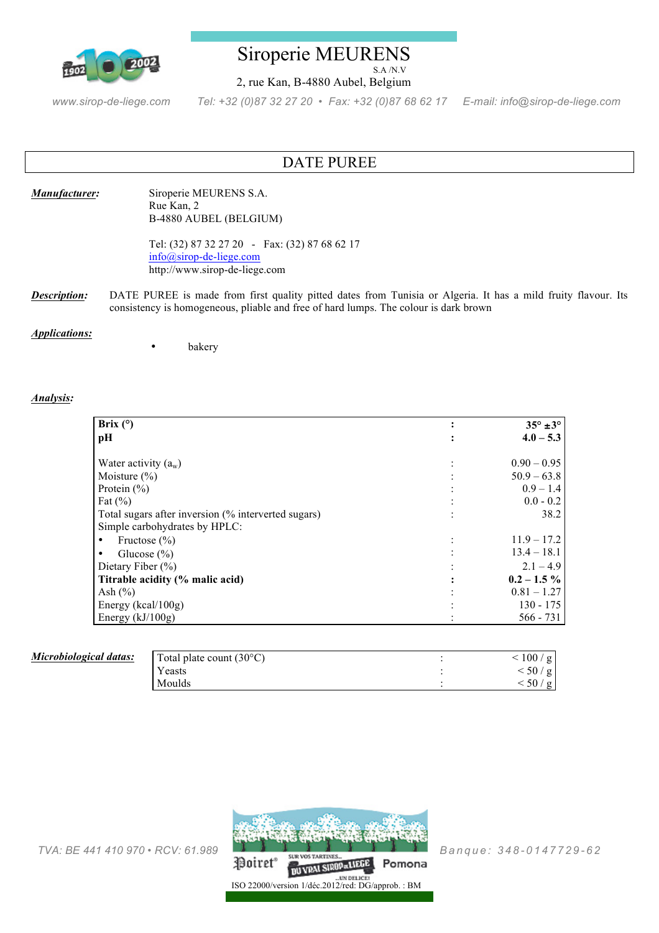

## Siroperie MEURENS S.A /N.V

2, rue Kan, B-4880 Aubel, Belgium

*www.sirop-de-liege.com Tel: +32 (0)87 32 27 20 • Fax: +32 (0)87 68 62 17 E-mail: info@sirop-de-liege.com*

# DATE PUREE

### *Manufacturer:* Siroperie MEURENS S.A. Rue Kan, 2 B-4880 AUBEL (BELGIUM)

Tel: (32) 87 32 27 20 - Fax: (32) 87 68 62 17 info@sirop-de-liege.com http://www.sirop-de-liege.com

*Description:* DATE PUREE is made from first quality pitted dates from Tunisia or Algeria. It has a mild fruity flavour. Its consistency is homogeneous, pliable and free of hard lumps. The colour is dark brown

### *Applications:*

**bakery** 

### *Analysis:*

| Brix $(°)$                                          | $35^\circ \pm 3^\circ$ |
|-----------------------------------------------------|------------------------|
| pН                                                  | $4.0 - 5.3$            |
| Water activity $(a_w)$                              | $0.90 - 0.95$          |
| Moisture $(\% )$                                    | $50.9 - 63.8$          |
| Protein $(\% )$                                     | $0.9 - 1.4$            |
| Fat $(\% )$                                         | $0.0 - 0.2$            |
| Total sugars after inversion (% interverted sugars) | 38.2                   |
| Simple carbohydrates by HPLC:                       |                        |
| Fructose $(\% )$                                    | $11.9 - 17.2$          |
| Glucose $(\% )$                                     | $13.4 - 18.1$          |
| Dietary Fiber $(\% )$                               | $2.1 - 4.9$            |
| Titrable acidity (% malic acid)                     | $0.2 - 1.5 \%$         |
| Ash $(\% )$                                         | $0.81 - 1.27$          |
| Energy ( $kcal/100g$ )                              | $130 - 175$            |
| Energy $(kJ/100g)$                                  | $566 - 731$            |

| Microbiological datas: | Total plate count $(30^{\circ}C)$ | 100/g    |
|------------------------|-----------------------------------|----------|
|                        | Yeasts                            | < 50 / g |
|                        | Moulds                            | 50/g     |